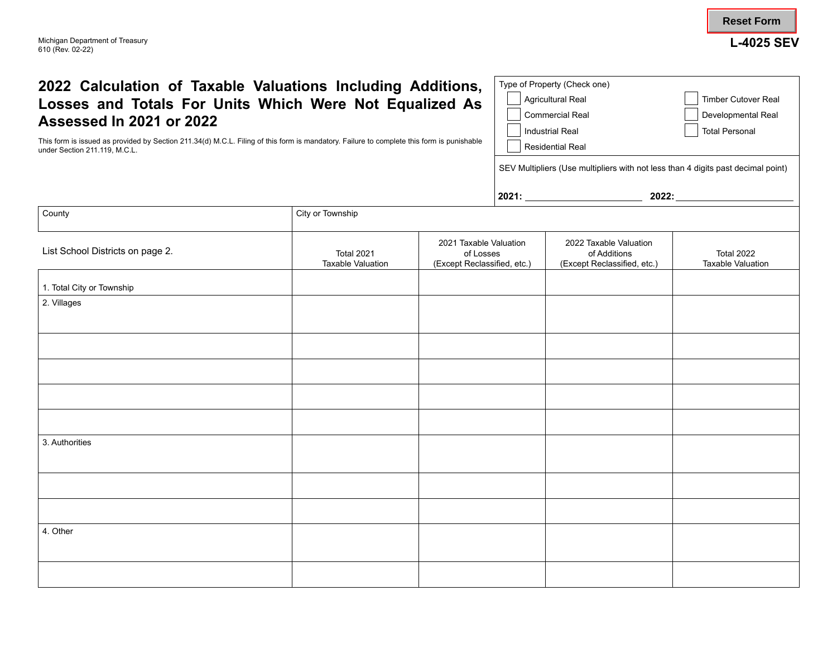| 2022 Calculation of Taxable Valuations Including Additions,<br>Losses and Totals For Units Which Were Not Equalized As<br>Assessed In 2021 or 2022<br>This form is issued as provided by Section 211.34(d) M.C.L. Filing of this form is mandatory. Failure to complete this form is punishable<br>under Section 211.119, M.C.L.<br>County<br>City or Township |                                               |                                                                    | Type of Property (Check one)<br><b>Agricultural Real</b><br><b>Timber Cutover Real</b><br><b>Commercial Real</b><br>Developmental Real<br><b>Industrial Real</b><br><b>Total Personal</b><br><b>Residential Real</b><br>SEV Multipliers (Use multipliers with not less than 4 digits past decimal point)<br>2021: 2022: 2022: 2021: |                                                                       |                                        |
|----------------------------------------------------------------------------------------------------------------------------------------------------------------------------------------------------------------------------------------------------------------------------------------------------------------------------------------------------------------|-----------------------------------------------|--------------------------------------------------------------------|-------------------------------------------------------------------------------------------------------------------------------------------------------------------------------------------------------------------------------------------------------------------------------------------------------------------------------------|-----------------------------------------------------------------------|----------------------------------------|
| List School Districts on page 2.                                                                                                                                                                                                                                                                                                                               | <b>Total 2021</b><br><b>Taxable Valuation</b> | 2021 Taxable Valuation<br>of Losses<br>(Except Reclassified, etc.) |                                                                                                                                                                                                                                                                                                                                     | 2022 Taxable Valuation<br>of Additions<br>(Except Reclassified, etc.) | Total 2022<br><b>Taxable Valuation</b> |
| 1. Total City or Township<br>2. Villages                                                                                                                                                                                                                                                                                                                       |                                               |                                                                    |                                                                                                                                                                                                                                                                                                                                     |                                                                       |                                        |
|                                                                                                                                                                                                                                                                                                                                                                |                                               |                                                                    |                                                                                                                                                                                                                                                                                                                                     |                                                                       |                                        |
|                                                                                                                                                                                                                                                                                                                                                                |                                               |                                                                    |                                                                                                                                                                                                                                                                                                                                     |                                                                       |                                        |
| 3. Authorities                                                                                                                                                                                                                                                                                                                                                 |                                               |                                                                    |                                                                                                                                                                                                                                                                                                                                     |                                                                       |                                        |
| 4. Other                                                                                                                                                                                                                                                                                                                                                       |                                               |                                                                    |                                                                                                                                                                                                                                                                                                                                     |                                                                       |                                        |
|                                                                                                                                                                                                                                                                                                                                                                |                                               |                                                                    |                                                                                                                                                                                                                                                                                                                                     |                                                                       |                                        |

**L-4025 SEV**